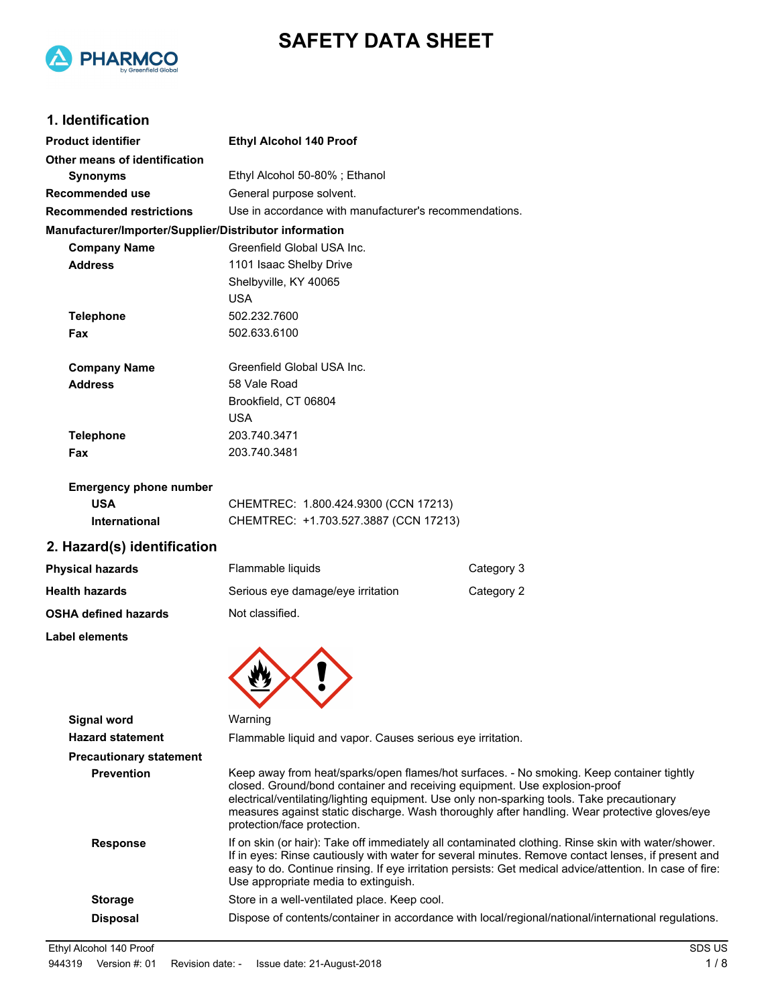



## **1. Identification**

| <b>Product identifier</b>                              | <b>Ethyl Alcohol 140 Proof</b>                                                                                                                                                                                                                                                                                                                                                                        |            |
|--------------------------------------------------------|-------------------------------------------------------------------------------------------------------------------------------------------------------------------------------------------------------------------------------------------------------------------------------------------------------------------------------------------------------------------------------------------------------|------------|
| Other means of identification                          |                                                                                                                                                                                                                                                                                                                                                                                                       |            |
| <b>Synonyms</b>                                        | Ethyl Alcohol 50-80%; Ethanol                                                                                                                                                                                                                                                                                                                                                                         |            |
| Recommended use                                        | General purpose solvent.                                                                                                                                                                                                                                                                                                                                                                              |            |
| <b>Recommended restrictions</b>                        | Use in accordance with manufacturer's recommendations.                                                                                                                                                                                                                                                                                                                                                |            |
| Manufacturer/Importer/Supplier/Distributor information |                                                                                                                                                                                                                                                                                                                                                                                                       |            |
| <b>Company Name</b>                                    | Greenfield Global USA Inc.                                                                                                                                                                                                                                                                                                                                                                            |            |
| <b>Address</b>                                         | 1101 Isaac Shelby Drive                                                                                                                                                                                                                                                                                                                                                                               |            |
|                                                        | Shelbyville, KY 40065                                                                                                                                                                                                                                                                                                                                                                                 |            |
|                                                        | <b>USA</b>                                                                                                                                                                                                                                                                                                                                                                                            |            |
| <b>Telephone</b>                                       | 502.232.7600                                                                                                                                                                                                                                                                                                                                                                                          |            |
| Fax                                                    | 502.633.6100                                                                                                                                                                                                                                                                                                                                                                                          |            |
| <b>Company Name</b>                                    | Greenfield Global USA Inc.                                                                                                                                                                                                                                                                                                                                                                            |            |
| <b>Address</b>                                         | 58 Vale Road                                                                                                                                                                                                                                                                                                                                                                                          |            |
|                                                        | Brookfield, CT 06804                                                                                                                                                                                                                                                                                                                                                                                  |            |
|                                                        | <b>USA</b>                                                                                                                                                                                                                                                                                                                                                                                            |            |
| <b>Telephone</b>                                       | 203.740.3471                                                                                                                                                                                                                                                                                                                                                                                          |            |
| Fax                                                    | 203.740.3481                                                                                                                                                                                                                                                                                                                                                                                          |            |
| <b>Emergency phone number</b>                          |                                                                                                                                                                                                                                                                                                                                                                                                       |            |
| <b>USA</b>                                             | CHEMTREC: 1.800.424.9300 (CCN 17213)                                                                                                                                                                                                                                                                                                                                                                  |            |
| International                                          | CHEMTREC: +1.703.527.3887 (CCN 17213)                                                                                                                                                                                                                                                                                                                                                                 |            |
| 2. Hazard(s) identification                            |                                                                                                                                                                                                                                                                                                                                                                                                       |            |
| <b>Physical hazards</b>                                | Flammable liquids                                                                                                                                                                                                                                                                                                                                                                                     | Category 3 |
| <b>Health hazards</b>                                  | Serious eye damage/eye irritation                                                                                                                                                                                                                                                                                                                                                                     | Category 2 |
| <b>OSHA defined hazards</b>                            | Not classified.                                                                                                                                                                                                                                                                                                                                                                                       |            |
| Label elements                                         |                                                                                                                                                                                                                                                                                                                                                                                                       |            |
|                                                        |                                                                                                                                                                                                                                                                                                                                                                                                       |            |
| <b>Signal word</b>                                     | Warning                                                                                                                                                                                                                                                                                                                                                                                               |            |
| <b>Hazard statement</b>                                | Flammable liquid and vapor. Causes serious eye irritation.                                                                                                                                                                                                                                                                                                                                            |            |
| <b>Precautionary statement</b>                         |                                                                                                                                                                                                                                                                                                                                                                                                       |            |
| <b>Prevention</b>                                      | Keep away from heat/sparks/open flames/hot surfaces. - No smoking. Keep container tightly<br>closed. Ground/bond container and receiving equipment. Use explosion-proof<br>electrical/ventilating/lighting equipment. Use only non-sparking tools. Take precautionary<br>measures against static discharge. Wash thoroughly after handling. Wear protective gloves/eye<br>protection/face protection. |            |
| <b>Response</b>                                        | If on skin (or hair): Take off immediately all contaminated clothing. Rinse skin with water/shower.<br>If in eyes: Rinse cautiously with water for several minutes. Remove contact lenses, if present and<br>easy to do. Continue rinsing. If eye irritation persists: Get medical advice/attention. In case of fire:<br>Use appropriate media to extinguish.                                         |            |

**Storage** Store in a well-ventilated place. Keep cool.

**Disposal** Dispose of contents/container in accordance with local/regional/national/international regulations.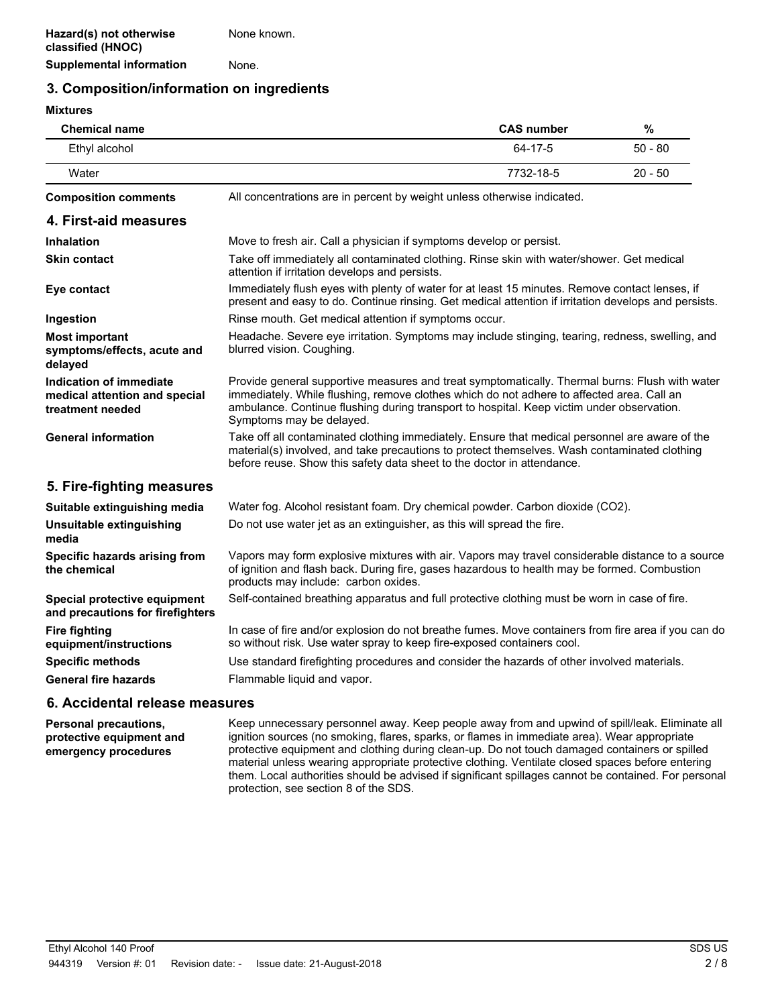## **3. Composition/information on ingredients**

#### **Mixtures**

| <b>Chemical name</b>                                                         |                                                                                                                                                                                                                                                                                                                      | <b>CAS number</b> | $\%$      |
|------------------------------------------------------------------------------|----------------------------------------------------------------------------------------------------------------------------------------------------------------------------------------------------------------------------------------------------------------------------------------------------------------------|-------------------|-----------|
| Ethyl alcohol                                                                |                                                                                                                                                                                                                                                                                                                      | 64-17-5           | $50 - 80$ |
| Water                                                                        |                                                                                                                                                                                                                                                                                                                      | 7732-18-5         | $20 - 50$ |
| <b>Composition comments</b>                                                  | All concentrations are in percent by weight unless otherwise indicated.                                                                                                                                                                                                                                              |                   |           |
| 4. First-aid measures                                                        |                                                                                                                                                                                                                                                                                                                      |                   |           |
| <b>Inhalation</b>                                                            | Move to fresh air. Call a physician if symptoms develop or persist.                                                                                                                                                                                                                                                  |                   |           |
| <b>Skin contact</b>                                                          | Take off immediately all contaminated clothing. Rinse skin with water/shower. Get medical<br>attention if irritation develops and persists.                                                                                                                                                                          |                   |           |
| Eye contact                                                                  | Immediately flush eyes with plenty of water for at least 15 minutes. Remove contact lenses, if<br>present and easy to do. Continue rinsing. Get medical attention if irritation develops and persists.                                                                                                               |                   |           |
| Ingestion                                                                    | Rinse mouth. Get medical attention if symptoms occur.                                                                                                                                                                                                                                                                |                   |           |
| <b>Most important</b><br>symptoms/effects, acute and<br>delayed              | Headache. Severe eye irritation. Symptoms may include stinging, tearing, redness, swelling, and<br>blurred vision. Coughing.                                                                                                                                                                                         |                   |           |
| Indication of immediate<br>medical attention and special<br>treatment needed | Provide general supportive measures and treat symptomatically. Thermal burns: Flush with water<br>immediately. While flushing, remove clothes which do not adhere to affected area. Call an<br>ambulance. Continue flushing during transport to hospital. Keep victim under observation.<br>Symptoms may be delayed. |                   |           |
| <b>General information</b>                                                   | Take off all contaminated clothing immediately. Ensure that medical personnel are aware of the<br>material(s) involved, and take precautions to protect themselves. Wash contaminated clothing<br>before reuse. Show this safety data sheet to the doctor in attendance.                                             |                   |           |
| 5. Fire-fighting measures                                                    |                                                                                                                                                                                                                                                                                                                      |                   |           |
| Suitable extinguishing media                                                 | Water fog. Alcohol resistant foam. Dry chemical powder. Carbon dioxide (CO2).                                                                                                                                                                                                                                        |                   |           |
| Unsuitable extinguishing<br>media                                            | Do not use water jet as an extinguisher, as this will spread the fire.                                                                                                                                                                                                                                               |                   |           |
| Specific hazards arising from<br>the chemical                                | Vapors may form explosive mixtures with air. Vapors may travel considerable distance to a source<br>of ignition and flash back. During fire, gases hazardous to health may be formed. Combustion<br>products may include: carbon oxides.                                                                             |                   |           |
| Special protective equipment<br>and precautions for firefighters             | Self-contained breathing apparatus and full protective clothing must be worn in case of fire.                                                                                                                                                                                                                        |                   |           |
| <b>Fire fighting</b><br>equipment/instructions                               | In case of fire and/or explosion do not breathe fumes. Move containers from fire area if you can do<br>so without risk. Use water spray to keep fire-exposed containers cool.                                                                                                                                        |                   |           |
| <b>Specific methods</b>                                                      | Use standard firefighting procedures and consider the hazards of other involved materials.                                                                                                                                                                                                                           |                   |           |
| <b>General fire hazards</b>                                                  | Flammable liquid and vapor.                                                                                                                                                                                                                                                                                          |                   |           |

### **6. Accidental release measures**

Keep unnecessary personnel away. Keep people away from and upwind of spill/leak. Eliminate all ignition sources (no smoking, flares, sparks, or flames in immediate area). Wear appropriate protective equipment and clothing during clean-up. Do not touch damaged containers or spilled material unless wearing appropriate protective clothing. Ventilate closed spaces before entering them. Local authorities should be advised if significant spillages cannot be contained. For personal protection, see section 8 of the SDS. **Personal precautions, protective equipment and emergency procedures**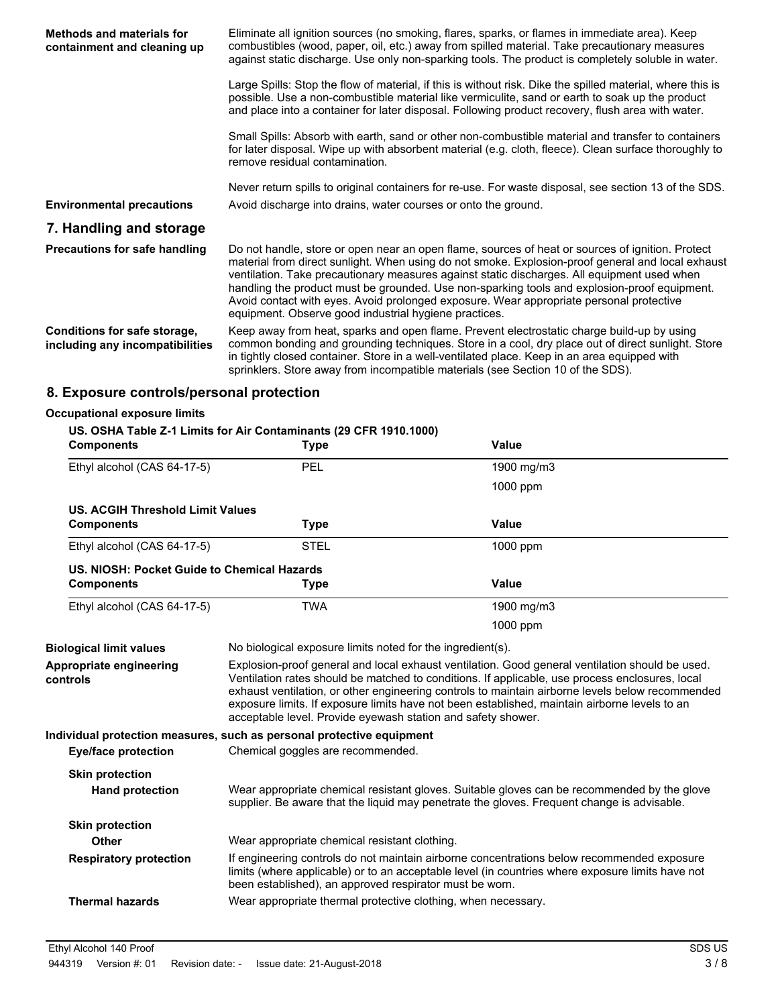| <b>Methods and materials for</b><br>containment and cleaning up | Eliminate all ignition sources (no smoking, flares, sparks, or flames in immediate area). Keep<br>combustibles (wood, paper, oil, etc.) away from spilled material. Take precautionary measures<br>against static discharge. Use only non-sparking tools. The product is completely soluble in water.                                                                                                                                                                                                                                                    |
|-----------------------------------------------------------------|----------------------------------------------------------------------------------------------------------------------------------------------------------------------------------------------------------------------------------------------------------------------------------------------------------------------------------------------------------------------------------------------------------------------------------------------------------------------------------------------------------------------------------------------------------|
|                                                                 | Large Spills: Stop the flow of material, if this is without risk. Dike the spilled material, where this is<br>possible. Use a non-combustible material like vermiculite, sand or earth to soak up the product<br>and place into a container for later disposal. Following product recovery, flush area with water.                                                                                                                                                                                                                                       |
|                                                                 | Small Spills: Absorb with earth, sand or other non-combustible material and transfer to containers<br>for later disposal. Wipe up with absorbent material (e.g. cloth, fleece). Clean surface thoroughly to<br>remove residual contamination.                                                                                                                                                                                                                                                                                                            |
| <b>Environmental precautions</b>                                | Never return spills to original containers for re-use. For waste disposal, see section 13 of the SDS.<br>Avoid discharge into drains, water courses or onto the ground.                                                                                                                                                                                                                                                                                                                                                                                  |
| 7. Handling and storage                                         |                                                                                                                                                                                                                                                                                                                                                                                                                                                                                                                                                          |
| <b>Precautions for safe handling</b>                            | Do not handle, store or open near an open flame, sources of heat or sources of ignition. Protect<br>material from direct sunlight. When using do not smoke. Explosion-proof general and local exhaust<br>ventilation. Take precautionary measures against static discharges. All equipment used when<br>handling the product must be grounded. Use non-sparking tools and explosion-proof equipment.<br>Avoid contact with eyes. Avoid prolonged exposure. Wear appropriate personal protective<br>equipment. Observe good industrial hygiene practices. |
| Conditions for safe storage,<br>including any incompatibilities | Keep away from heat, sparks and open flame. Prevent electrostatic charge build-up by using<br>common bonding and grounding techniques. Store in a cool, dry place out of direct sunlight. Store<br>in tightly closed container. Store in a well-ventilated place. Keep in an area equipped with<br>sprinklers. Store away from incompatible materials (see Section 10 of the SDS).                                                                                                                                                                       |
|                                                                 |                                                                                                                                                                                                                                                                                                                                                                                                                                                                                                                                                          |

## **8. Exposure controls/personal protection**

| <b>Occupational exposure limits</b>         |                                                                                  |                                                                                                                                                                                                                                                                                                                                                                                                         |
|---------------------------------------------|----------------------------------------------------------------------------------|---------------------------------------------------------------------------------------------------------------------------------------------------------------------------------------------------------------------------------------------------------------------------------------------------------------------------------------------------------------------------------------------------------|
| <b>Components</b>                           | US. OSHA Table Z-1 Limits for Air Contaminants (29 CFR 1910.1000)<br><b>Type</b> | <b>Value</b>                                                                                                                                                                                                                                                                                                                                                                                            |
| Ethyl alcohol (CAS 64-17-5)                 | PEL                                                                              | 1900 mg/m3                                                                                                                                                                                                                                                                                                                                                                                              |
|                                             |                                                                                  | 1000 ppm                                                                                                                                                                                                                                                                                                                                                                                                |
| <b>US. ACGIH Threshold Limit Values</b>     |                                                                                  |                                                                                                                                                                                                                                                                                                                                                                                                         |
| <b>Components</b>                           | <b>Type</b>                                                                      | <b>Value</b>                                                                                                                                                                                                                                                                                                                                                                                            |
| Ethyl alcohol (CAS 64-17-5)                 | <b>STEL</b>                                                                      | 1000 ppm                                                                                                                                                                                                                                                                                                                                                                                                |
| US. NIOSH: Pocket Guide to Chemical Hazards |                                                                                  |                                                                                                                                                                                                                                                                                                                                                                                                         |
| <b>Components</b>                           | <b>Type</b>                                                                      | <b>Value</b>                                                                                                                                                                                                                                                                                                                                                                                            |
| Ethyl alcohol (CAS 64-17-5)                 | <b>TWA</b>                                                                       | 1900 mg/m3                                                                                                                                                                                                                                                                                                                                                                                              |
|                                             |                                                                                  | 1000 ppm                                                                                                                                                                                                                                                                                                                                                                                                |
| <b>Biological limit values</b>              | No biological exposure limits noted for the ingredient(s).                       |                                                                                                                                                                                                                                                                                                                                                                                                         |
| Appropriate engineering<br>controls         | acceptable level. Provide eyewash station and safety shower.                     | Explosion-proof general and local exhaust ventilation. Good general ventilation should be used.<br>Ventilation rates should be matched to conditions. If applicable, use process enclosures, local<br>exhaust ventilation, or other engineering controls to maintain airborne levels below recommended<br>exposure limits. If exposure limits have not been established, maintain airborne levels to an |
|                                             | Individual protection measures, such as personal protective equipment            |                                                                                                                                                                                                                                                                                                                                                                                                         |
| <b>Eye/face protection</b>                  | Chemical goggles are recommended.                                                |                                                                                                                                                                                                                                                                                                                                                                                                         |
| <b>Skin protection</b>                      |                                                                                  |                                                                                                                                                                                                                                                                                                                                                                                                         |
| <b>Hand protection</b>                      |                                                                                  | Wear appropriate chemical resistant gloves. Suitable gloves can be recommended by the glove<br>supplier. Be aware that the liquid may penetrate the gloves. Frequent change is advisable.                                                                                                                                                                                                               |
| <b>Skin protection</b>                      |                                                                                  |                                                                                                                                                                                                                                                                                                                                                                                                         |
| <b>Other</b>                                | Wear appropriate chemical resistant clothing.                                    |                                                                                                                                                                                                                                                                                                                                                                                                         |
| <b>Respiratory protection</b>               | been established), an approved respirator must be worn.                          | If engineering controls do not maintain airborne concentrations below recommended exposure<br>limits (where applicable) or to an acceptable level (in countries where exposure limits have not                                                                                                                                                                                                          |
| <b>Thermal hazards</b>                      | Wear appropriate thermal protective clothing, when necessary.                    |                                                                                                                                                                                                                                                                                                                                                                                                         |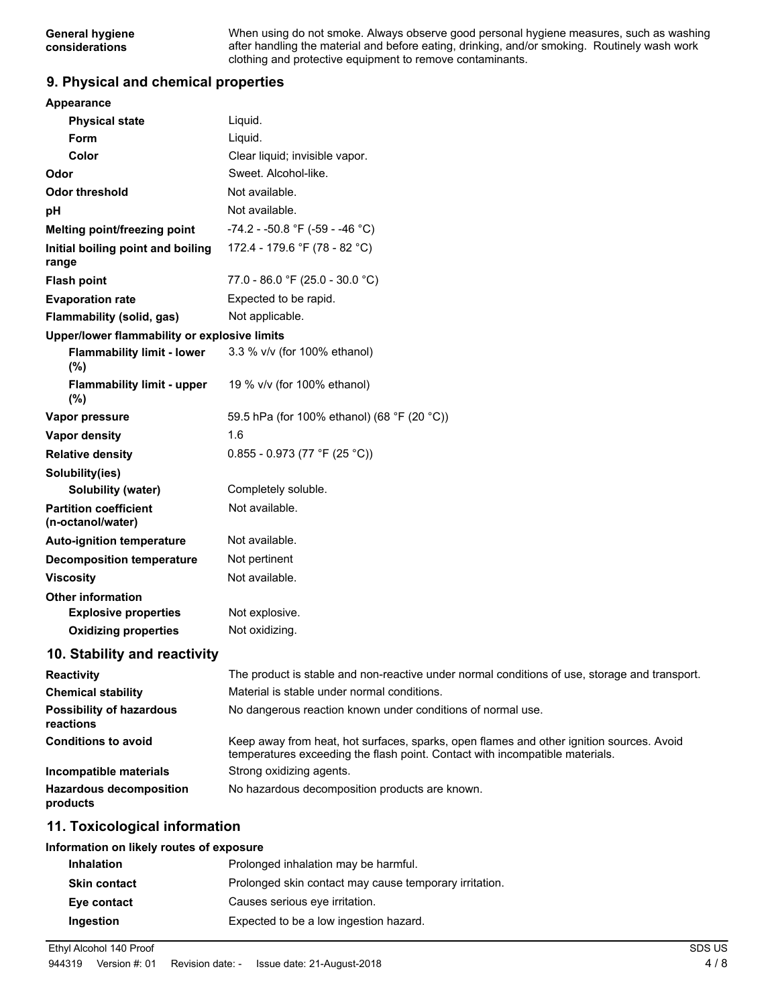When using do not smoke. Always observe good personal hygiene measures, such as washing after handling the material and before eating, drinking, and/or smoking. Routinely wash work clothing and protective equipment to remove contaminants.

## **9. Physical and chemical properties**

| Appearance                                                                             |                                                                                                                                                                          |
|----------------------------------------------------------------------------------------|--------------------------------------------------------------------------------------------------------------------------------------------------------------------------|
| <b>Physical state</b>                                                                  | Liquid.                                                                                                                                                                  |
| Form                                                                                   | Liquid.                                                                                                                                                                  |
| Color                                                                                  | Clear liquid; invisible vapor.                                                                                                                                           |
| Odor                                                                                   | Sweet. Alcohol-like.                                                                                                                                                     |
| <b>Odor threshold</b>                                                                  | Not available.                                                                                                                                                           |
| pH                                                                                     | Not available.                                                                                                                                                           |
| Melting point/freezing point                                                           | -74.2 - -50.8 °F (-59 - -46 °C)                                                                                                                                          |
| Initial boiling point and boiling<br>range                                             | 172.4 - 179.6 °F (78 - 82 °C)                                                                                                                                            |
| <b>Flash point</b>                                                                     | 77.0 - 86.0 °F (25.0 - 30.0 °C)                                                                                                                                          |
| <b>Evaporation rate</b>                                                                | Expected to be rapid.                                                                                                                                                    |
| Flammability (solid, gas)                                                              | Not applicable.                                                                                                                                                          |
| Upper/lower flammability or explosive limits                                           |                                                                                                                                                                          |
| <b>Flammability limit - lower</b><br>$(\%)$                                            | 3.3 % v/v (for 100% ethanol)                                                                                                                                             |
| <b>Flammability limit - upper</b><br>$(\%)$                                            | 19 % v/v (for 100% ethanol)                                                                                                                                              |
| Vapor pressure                                                                         | 59.5 hPa (for 100% ethanol) (68 °F (20 °C))                                                                                                                              |
| <b>Vapor density</b>                                                                   | 1.6                                                                                                                                                                      |
| <b>Relative density</b>                                                                | $0.855 - 0.973$ (77 °F (25 °C))                                                                                                                                          |
| Solubility(ies)                                                                        |                                                                                                                                                                          |
| Solubility (water)                                                                     | Completely soluble.                                                                                                                                                      |
| <b>Partition coefficient</b><br>(n-octanol/water)                                      | Not available.                                                                                                                                                           |
| <b>Auto-ignition temperature</b>                                                       | Not available.                                                                                                                                                           |
| <b>Decomposition temperature</b>                                                       | Not pertinent                                                                                                                                                            |
| <b>Viscosity</b>                                                                       | Not available.                                                                                                                                                           |
| <b>Other information</b><br><b>Explosive properties</b><br><b>Oxidizing properties</b> | Not explosive.<br>Not oxidizing.                                                                                                                                         |
| 10. Stability and reactivity                                                           |                                                                                                                                                                          |
| <b>Reactivity</b>                                                                      | The product is stable and non-reactive under normal conditions of use, storage and transport.                                                                            |
| <b>Chemical stability</b>                                                              | Material is stable under normal conditions.                                                                                                                              |
| <b>Possibility of hazardous</b><br>reactions                                           | No dangerous reaction known under conditions of normal use.                                                                                                              |
| <b>Conditions to avoid</b>                                                             | Keep away from heat, hot surfaces, sparks, open flames and other ignition sources. Avoid<br>temperatures exceeding the flash point. Contact with incompatible materials. |
| Incompatible materials                                                                 | Strong oxidizing agents.                                                                                                                                                 |
| <b>Hazardous decomposition</b><br>products                                             | No hazardous decomposition products are known.                                                                                                                           |
| 11. Toxicological information                                                          |                                                                                                                                                                          |

#### **Information on likely routes of exposure**

| <b>Inhalation</b>   | Prolonged inhalation may be harmful.                   |
|---------------------|--------------------------------------------------------|
| <b>Skin contact</b> | Prolonged skin contact may cause temporary irritation. |
| Eye contact         | Causes serious eve irritation.                         |
| Ingestion           | Expected to be a low ingestion hazard.                 |

Ethyl Alcohol 140 Proof SDS US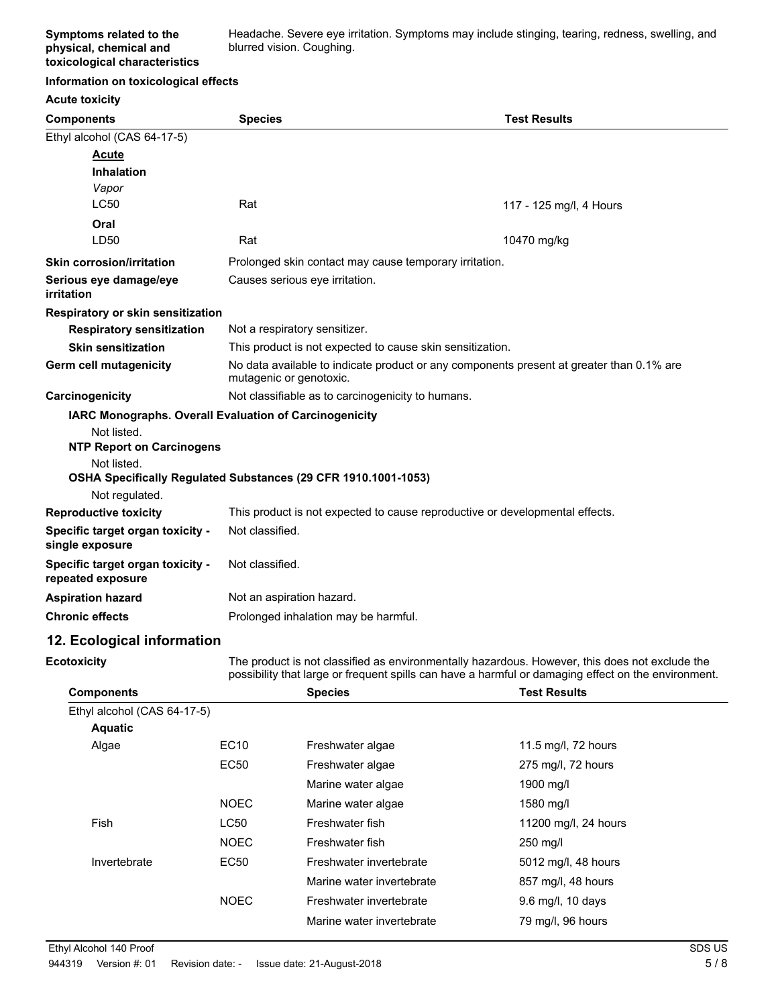Headache. Severe eye irritation. Symptoms may include stinging, tearing, redness, swelling, and blurred vision. Coughing.

#### **Information on toxicological effects**

| <b>Acute toxicity</b>                                 |                                                                                                                     |                         |
|-------------------------------------------------------|---------------------------------------------------------------------------------------------------------------------|-------------------------|
| <b>Components</b>                                     | <b>Species</b>                                                                                                      | <b>Test Results</b>     |
| Ethyl alcohol (CAS 64-17-5)                           |                                                                                                                     |                         |
| <b>Acute</b>                                          |                                                                                                                     |                         |
| <b>Inhalation</b>                                     |                                                                                                                     |                         |
| Vapor                                                 |                                                                                                                     |                         |
| <b>LC50</b>                                           | Rat                                                                                                                 | 117 - 125 mg/l, 4 Hours |
| Oral                                                  |                                                                                                                     |                         |
| LD50                                                  | Rat                                                                                                                 | 10470 mg/kg             |
| <b>Skin corrosion/irritation</b>                      | Prolonged skin contact may cause temporary irritation.                                                              |                         |
| Serious eye damage/eye<br>irritation                  | Causes serious eye irritation.                                                                                      |                         |
| Respiratory or skin sensitization                     |                                                                                                                     |                         |
| <b>Respiratory sensitization</b>                      | Not a respiratory sensitizer.                                                                                       |                         |
| <b>Skin sensitization</b>                             | This product is not expected to cause skin sensitization.                                                           |                         |
| <b>Germ cell mutagenicity</b>                         | No data available to indicate product or any components present at greater than 0.1% are<br>mutagenic or genotoxic. |                         |
| Carcinogenicity                                       | Not classifiable as to carcinogenicity to humans.                                                                   |                         |
|                                                       | IARC Monographs. Overall Evaluation of Carcinogenicity                                                              |                         |
| Not listed.                                           |                                                                                                                     |                         |
| <b>NTP Report on Carcinogens</b>                      |                                                                                                                     |                         |
| Not listed.                                           | OSHA Specifically Regulated Substances (29 CFR 1910.1001-1053)                                                      |                         |
| Not regulated.                                        |                                                                                                                     |                         |
| <b>Reproductive toxicity</b>                          | This product is not expected to cause reproductive or developmental effects.                                        |                         |
| Specific target organ toxicity -                      | Not classified.                                                                                                     |                         |
| single exposure                                       |                                                                                                                     |                         |
| Specific target organ toxicity -<br>repeated exposure | Not classified.                                                                                                     |                         |
| <b>Aspiration hazard</b>                              | Not an aspiration hazard.                                                                                           |                         |
| <b>Chronic effects</b>                                | Prolonged inhalation may be harmful.                                                                                |                         |

## **12. Ecological information**

**Ecotoxicity**

The product is not classified as environmentally hazardous. However, this does not exclude the possibility that large or frequent spills can have a harmful or damaging effect on the environment.

| <b>Components</b>           |             | <b>Species</b>            | <b>Test Results</b>  |  |
|-----------------------------|-------------|---------------------------|----------------------|--|
| Ethyl alcohol (CAS 64-17-5) |             |                           |                      |  |
| <b>Aquatic</b>              |             |                           |                      |  |
| Algae                       | EC10        | Freshwater algae          | 11.5 mg/l, 72 hours  |  |
|                             | <b>EC50</b> | Freshwater algae          | 275 mg/l, 72 hours   |  |
|                             |             | Marine water algae        | 1900 mg/l            |  |
|                             | <b>NOEC</b> | Marine water algae        | 1580 mg/l            |  |
| Fish                        | <b>LC50</b> | Freshwater fish           | 11200 mg/l, 24 hours |  |
|                             | <b>NOEC</b> | Freshwater fish           | 250 mg/l             |  |
| Invertebrate                | EC50        | Freshwater invertebrate   | 5012 mg/l, 48 hours  |  |
|                             |             | Marine water invertebrate | 857 mg/l, 48 hours   |  |
|                             | <b>NOEC</b> | Freshwater invertebrate   | 9.6 mg/l, 10 days    |  |
|                             |             | Marine water invertebrate | 79 mg/l, 96 hours    |  |
|                             |             |                           |                      |  |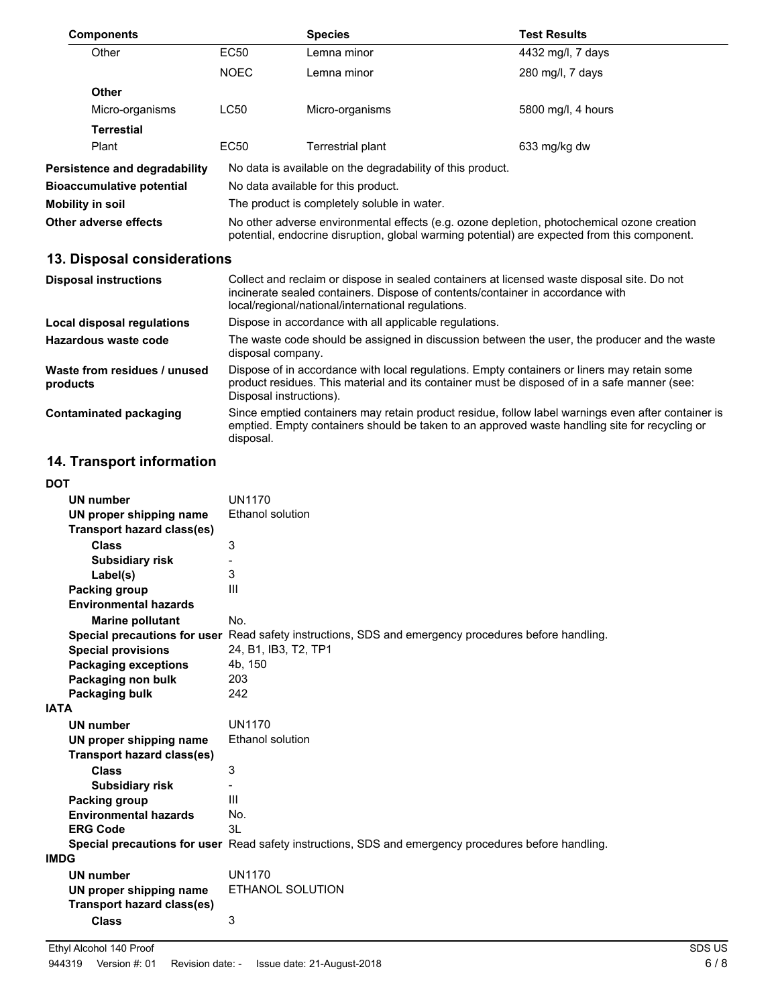| <b>Components</b>                    |                                                                                                                                                                                            | <b>Species</b>                                             | <b>Test Results</b> |
|--------------------------------------|--------------------------------------------------------------------------------------------------------------------------------------------------------------------------------------------|------------------------------------------------------------|---------------------|
| Other                                | <b>EC50</b>                                                                                                                                                                                | Lemna minor                                                | 4432 mg/l, 7 days   |
|                                      | <b>NOEC</b>                                                                                                                                                                                | Lemna minor                                                | 280 mg/l, 7 days    |
| <b>Other</b>                         |                                                                                                                                                                                            |                                                            |                     |
| Micro-organisms                      | LC50                                                                                                                                                                                       | Micro-organisms                                            | 5800 mg/l, 4 hours  |
| <b>Terrestial</b>                    |                                                                                                                                                                                            |                                                            |                     |
| Plant                                | EC <sub>50</sub>                                                                                                                                                                           | Terrestrial plant                                          | 633 mg/kg dw        |
| <b>Persistence and degradability</b> |                                                                                                                                                                                            | No data is available on the degradability of this product. |                     |
| <b>Bioaccumulative potential</b>     | No data available for this product.                                                                                                                                                        |                                                            |                     |
| Mobility in soil                     |                                                                                                                                                                                            | The product is completely soluble in water.                |                     |
| Other adverse effects                | No other adverse environmental effects (e.g. ozone depletion, photochemical ozone creation<br>potential, endocrine disruption, global warming potential) are expected from this component. |                                                            |                     |

# **13. Disposal considerations**

| <b>Disposal instructions</b>             | Collect and reclaim or dispose in sealed containers at licensed waste disposal site. Do not<br>incinerate sealed containers. Dispose of contents/container in accordance with<br>local/regional/national/international regulations. |
|------------------------------------------|-------------------------------------------------------------------------------------------------------------------------------------------------------------------------------------------------------------------------------------|
| Local disposal regulations               | Dispose in accordance with all applicable regulations.                                                                                                                                                                              |
| Hazardous waste code                     | The waste code should be assigned in discussion between the user, the producer and the waste<br>disposal company.                                                                                                                   |
| Waste from residues / unused<br>products | Dispose of in accordance with local regulations. Empty containers or liners may retain some<br>product residues. This material and its container must be disposed of in a safe manner (see:<br>Disposal instructions).              |
| Contaminated packaging                   | Since emptied containers may retain product residue, follow label warnings even after container is<br>emptied. Empty containers should be taken to an approved waste handling site for recycling or<br>disposal.                    |

# **14. Transport information**

| DOT                               |                                                                                                      |
|-----------------------------------|------------------------------------------------------------------------------------------------------|
| <b>UN number</b>                  | <b>UN1170</b>                                                                                        |
| UN proper shipping name           | <b>Ethanol solution</b>                                                                              |
| <b>Transport hazard class(es)</b> |                                                                                                      |
| <b>Class</b>                      | 3                                                                                                    |
| <b>Subsidiary risk</b>            |                                                                                                      |
| Label(s)                          | 3                                                                                                    |
| Packing group                     | $\mathbf{III}$                                                                                       |
| <b>Environmental hazards</b>      |                                                                                                      |
| <b>Marine pollutant</b>           | No.                                                                                                  |
| Special precautions for user      | Read safety instructions, SDS and emergency procedures before handling.                              |
| <b>Special provisions</b>         | 24, B1, IB3, T2, TP1                                                                                 |
| <b>Packaging exceptions</b>       | 4b, 150                                                                                              |
| Packaging non bulk                | 203                                                                                                  |
| Packaging bulk                    | 242                                                                                                  |
| <b>IATA</b>                       |                                                                                                      |
| <b>UN number</b>                  | <b>UN1170</b>                                                                                        |
| UN proper shipping name           | Ethanol solution                                                                                     |
| Transport hazard class(es)        |                                                                                                      |
| <b>Class</b>                      | 3                                                                                                    |
| <b>Subsidiary risk</b>            |                                                                                                      |
| Packing group                     | Ш                                                                                                    |
| <b>Environmental hazards</b>      | No.                                                                                                  |
| <b>ERG Code</b>                   | 3L                                                                                                   |
|                                   | Special precautions for user Read safety instructions, SDS and emergency procedures before handling. |
| IMDG                              |                                                                                                      |
| <b>UN number</b>                  | <b>UN1170</b>                                                                                        |
| UN proper shipping name           | ETHANOL SOLUTION                                                                                     |
| <b>Transport hazard class(es)</b> |                                                                                                      |
| <b>Class</b>                      | 3                                                                                                    |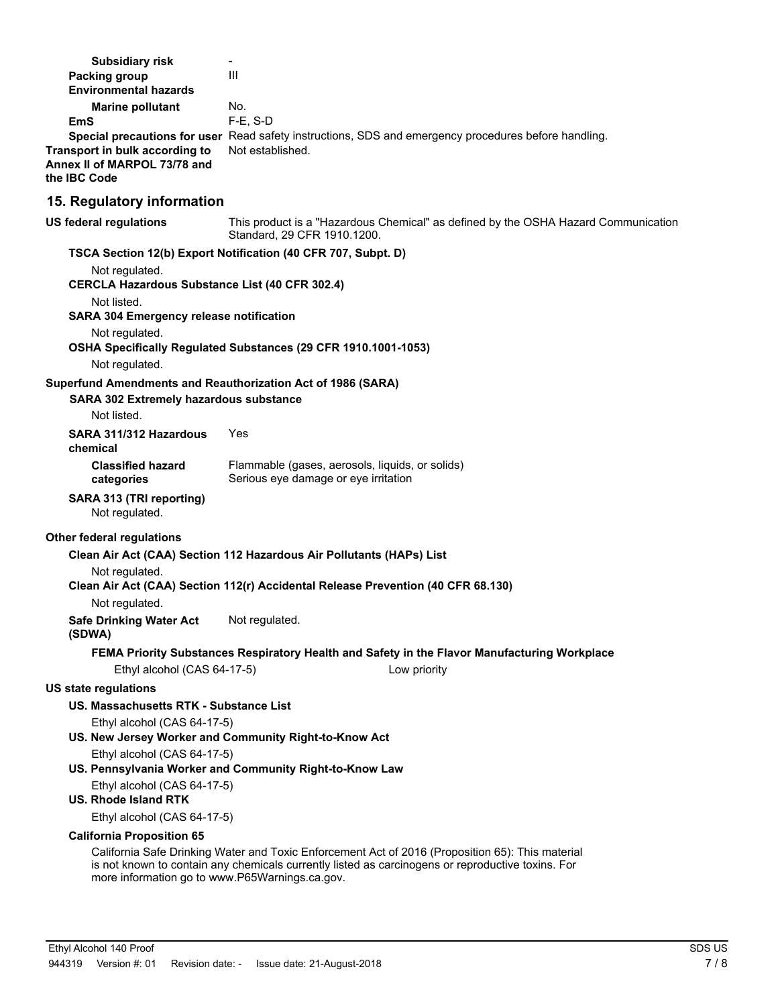| <b>Subsidiary risk</b>                                                             |                                                                                                                                                                                                       |
|------------------------------------------------------------------------------------|-------------------------------------------------------------------------------------------------------------------------------------------------------------------------------------------------------|
| <b>Packing group</b>                                                               | Ш                                                                                                                                                                                                     |
| <b>Environmental hazards</b>                                                       |                                                                                                                                                                                                       |
| <b>Marine pollutant</b><br>EmS                                                     | No.<br>$F-E$ , S-D                                                                                                                                                                                    |
| Transport in bulk according to<br>Annex II of MARPOL 73/78 and<br>the IBC Code     | Special precautions for user Read safety instructions, SDS and emergency procedures before handling.<br>Not established.                                                                              |
| 15. Regulatory information                                                         |                                                                                                                                                                                                       |
| <b>US federal regulations</b>                                                      | This product is a "Hazardous Chemical" as defined by the OSHA Hazard Communication<br>Standard, 29 CFR 1910.1200.                                                                                     |
|                                                                                    | TSCA Section 12(b) Export Notification (40 CFR 707, Subpt. D)                                                                                                                                         |
| Not regulated.<br><b>CERCLA Hazardous Substance List (40 CFR 302.4)</b>            |                                                                                                                                                                                                       |
| Not listed.<br><b>SARA 304 Emergency release notification</b>                      |                                                                                                                                                                                                       |
| Not regulated.<br>Not regulated.                                                   | OSHA Specifically Regulated Substances (29 CFR 1910.1001-1053)                                                                                                                                        |
| Superfund Amendments and Reauthorization Act of 1986 (SARA)                        |                                                                                                                                                                                                       |
| <b>SARA 302 Extremely hazardous substance</b>                                      |                                                                                                                                                                                                       |
| Not listed.                                                                        |                                                                                                                                                                                                       |
| SARA 311/312 Hazardous<br>chemical                                                 | Yes                                                                                                                                                                                                   |
| <b>Classified hazard</b><br>categories                                             | Flammable (gases, aerosols, liquids, or solids)<br>Serious eye damage or eye irritation                                                                                                               |
| SARA 313 (TRI reporting)<br>Not regulated.                                         |                                                                                                                                                                                                       |
| Other federal regulations                                                          |                                                                                                                                                                                                       |
|                                                                                    | Clean Air Act (CAA) Section 112 Hazardous Air Pollutants (HAPs) List                                                                                                                                  |
| Not regulated.                                                                     |                                                                                                                                                                                                       |
|                                                                                    | Clean Air Act (CAA) Section 112(r) Accidental Release Prevention (40 CFR 68.130)                                                                                                                      |
| Not regulated.                                                                     |                                                                                                                                                                                                       |
| <b>Safe Drinking Water Act</b><br>(SDWA)                                           | Not regulated.                                                                                                                                                                                        |
|                                                                                    | FEMA Priority Substances Respiratory Health and Safety in the Flavor Manufacturing Workplace                                                                                                          |
| Ethyl alcohol (CAS 64-17-5)                                                        | Low priority                                                                                                                                                                                          |
| US state regulations                                                               |                                                                                                                                                                                                       |
| US. Massachusetts RTK - Substance List                                             |                                                                                                                                                                                                       |
| Ethyl alcohol (CAS 64-17-5)                                                        | US. New Jersey Worker and Community Right-to-Know Act                                                                                                                                                 |
| Ethyl alcohol (CAS 64-17-5)                                                        |                                                                                                                                                                                                       |
|                                                                                    | US. Pennsylvania Worker and Community Right-to-Know Law                                                                                                                                               |
| Ethyl alcohol (CAS 64-17-5)<br><b>US. Rhode Island RTK</b>                         |                                                                                                                                                                                                       |
| Ethyl alcohol (CAS 64-17-5)                                                        |                                                                                                                                                                                                       |
| <b>California Proposition 65</b><br>more information go to www.P65Warnings.ca.gov. | California Safe Drinking Water and Toxic Enforcement Act of 2016 (Proposition 65): This material<br>is not known to contain any chemicals currently listed as carcinogens or reproductive toxins. For |